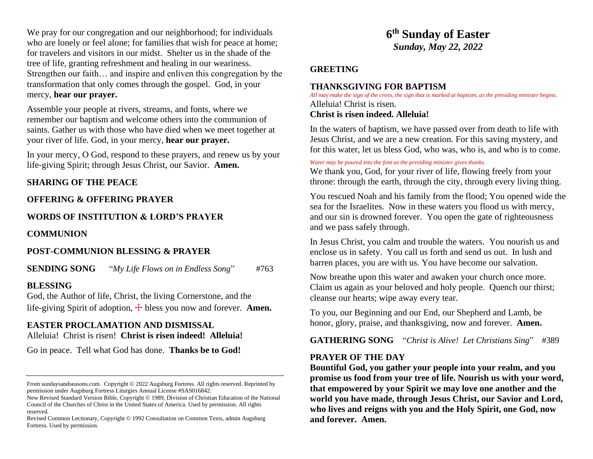We pray for our congregation and our neighborhood; for individuals who are lonely or feel alone; for families that wish for peace at home; for travelers and visitors in our midst. Shelter us in the shade of the tree of life, granting refreshment and healing in our weariness. Strengthen our faith… and inspire and enliven this congregation by the transformation that only comes through the gospel. God, in your mercy, **hear our prayer.**

Assemble your people at rivers, streams, and fonts, where we remember our baptism and welcome others into the communion of saints. Gather us with those who have died when we meet together at your river of life. God, in your mercy, **hear our prayer.**

In your mercy, O God, respond to these prayers, and renew us by your life-giving Spirit; through Jesus Christ, our Savior. **Amen.**

### **SHARING OF THE PEACE**

### **OFFERING & OFFERING PRAYER**

## **WORDS OF INSTITUTION & LORD'S PRAYER**

**COMMUNION**

## **POST-COMMUNION BLESSING & PRAYER**

**SENDING SONG** "*My Life Flows on in Endless Song*" #763

### **BLESSING**

God, the Author of life, Christ, the living Cornerstone, and the life-giving Spirit of adoption,  $\pm$  bless you now and forever. **Amen.** 

## **EASTER PROCLAMATION AND DISMISSAL**

Alleluia! Christ is risen! **Christ is risen indeed! Alleluia!**

Go in peace. Tell what God has done. **Thanks be to God!** 

New Revised Standard Version Bible, Copyright © 1989, Division of Christian Education of the National Council of the Churches of Christ in the United States of America. Used by permission. All rights reserved.

Revised Common Lectionary, Copyright © 1992 Consultation on Common Texts, admin Augsburg Fortress. Used by permission.

# **6 th Sunday of Easter** *Sunday, May 22, 2022*

## **GREETING**

## **THANKSGIVING FOR BAPTISM**

*All may make the sign of the cross, the sign that is marked at baptism, as the presiding minister begins.* Alleluia! Christ is risen.

### **Christ is risen indeed. Alleluia!**

In the waters of baptism, we have passed over from death to life with Jesus Christ, and we are a new creation. For this saving mystery, and for this water, let us bless God, who was, who is, and who is to come.

#### *Water may be poured into the font as the presiding minister gives thanks.*

We thank you, God, for your river of life, flowing freely from your throne: through the earth, through the city, through every living thing.

You rescued Noah and his family from the flood; You opened wide the sea for the Israelites. Now in these waters you flood us with mercy, and our sin is drowned forever. You open the gate of righteousness and we pass safely through.

In Jesus Christ, you calm and trouble the waters. You nourish us and enclose us in safety. You call us forth and send us out. In lush and barren places, you are with us. You have become our salvation.

Now breathe upon this water and awaken your church once more. Claim us again as your beloved and holy people. Quench our thirst; cleanse our hearts; wipe away every tear.

To you, our Beginning and our End, our Shepherd and Lamb, be honor, glory, praise, and thanksgiving, now and forever. **Amen.**

**GATHERING SONG** "*Christ is Alive! Let Christians Sing*" #389

### **PRAYER OF THE DAY**

**Bountiful God, you gather your people into your realm, and you promise us food from your tree of life. Nourish us with your word, that empowered by your Spirit we may love one another and the world you have made, through Jesus Christ, our Savior and Lord, who lives and reigns with you and the Holy Spirit, one God, now and forever. Amen.**

From sundaysandseasons.com. Copyright © 2022 Augsburg Fortress. All rights reserved. Reprinted by permission under Augsburg Fortress Liturgies Annual License #SAS016842.